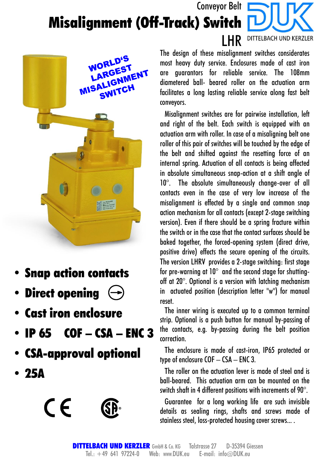## Conveyor Belt Misalignment (Off-Track) Switch DITTELBACH UND KERZLER



- Snap action contacts
- Direct opening  $\left(\rightarrow\right)$
- Cast iron enclosure
- IP  $65$  COF CSA ENC 3
- CSA-approval optional
- 25A



The design of these misalignment switches considerates most heavy duty service. Enclosures made of cast iron are guarantors for reliable service. The 108mm diametered ball- beared roller on the actuation arm facilitates a long lasting reliable service along fast belt conveyors.

LHR

Misalignment switches are for pairwise installation, left and right of the belt. Each switch is equipped with an actuation arm with roller. In case of a misaligning belt one roller of this pair of switches will be touched by the edge of the belt and shifted against the resetting force of an internal spring. Actuation of all contacts is being affected in absolute simultaneous snap-action at a shift angle of 10°. The absolute simultaneously change-over of all contacts even in the case of very low increase of the misalignment is effected by a single and common snap action mechanism for all contacts (except 2-stage switching version). Even if there should be a spring fracture within the switch or inthe case that the contact surfaces should be baked together, the forced-opening system (direct drive, positive drive) effects the secure opening of the circuits. The version LHRV provides a 2-stage switching: first stage for pre-warning at 10° and the second stage for shuttingoff at 20°. Optional is a version with latching mechanism in actuated position (description letter "w") for manual reset.

The inner wiring is executed up to a common terminal strip. Optional is a push button for manual by-passing of the contacts, e.g. by-passing during the belt position correction.

The enclosure is made of cast-iron, IP65 protected or type of enclosure  $COF - CSA - ENC3$ .

The roller on the actuation lever is made of steel and is ball-beared. This actuation arm can be mounted on the switch shaft in 4 different positions with increments of  $90^{\circ}$ .

Guarantee for a long working life are such invisible details as sealing rings, shafts and screws made of stainless steel, loss-protected housing cover screws....